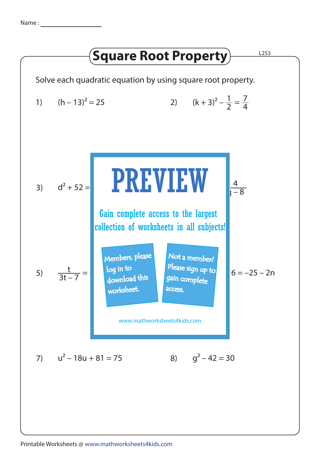